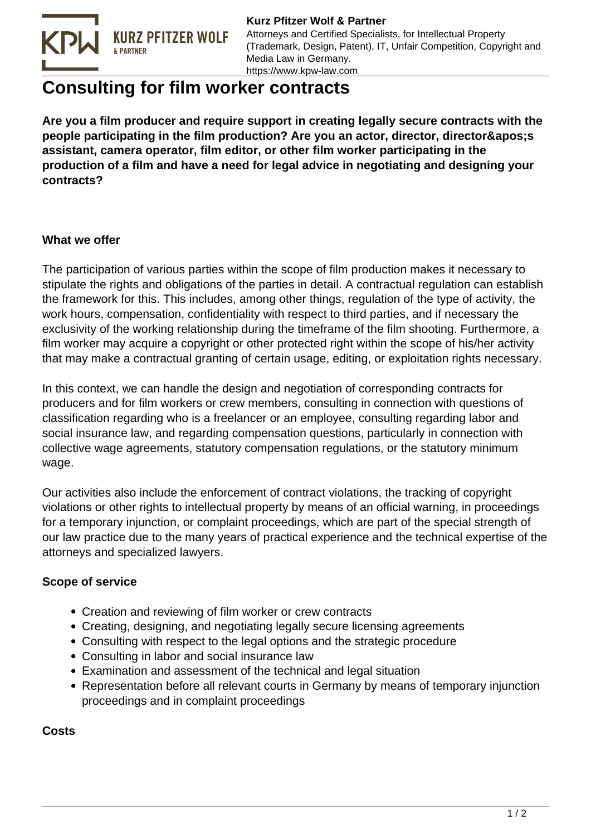

**Kurz Pfitzer Wolf & Partner** Attorneys and Certified Specialists, for Intellectual Property (Trademark, Design, Patent), IT, Unfair Competition, Copyright and Media Law in Germany. https://www.kpw-law.com

## **Consulting for film worker contracts**

**Are you a film producer and require support in creating legally secure contracts with the people participating in the film production? Are you an actor, director, director' s assistant, camera operator, film editor, or other film worker participating in the production of a film and have a need for legal advice in negotiating and designing your contracts?**

## **What we offer**

The participation of various parties within the scope of film production makes it necessary to stipulate the rights and obligations of the parties in detail. A contractual regulation can establish the framework for this. This includes, among other things, regulation of the type of activity, the work hours, compensation, confidentiality with respect to third parties, and if necessary the exclusivity of the working relationship during the timeframe of the film shooting. Furthermore, a film worker may acquire a copyright or other protected right within the scope of his/her activity that may make a contractual granting of certain usage, editing, or exploitation rights necessary.

In this context, we can handle the design and negotiation of corresponding contracts for producers and for film workers or crew members, consulting in connection with questions of classification regarding who is a freelancer or an employee, consulting regarding labor and social insurance law, and regarding compensation questions, particularly in connection with collective wage agreements, statutory compensation regulations, or the statutory minimum wage.

Our activities also include the enforcement of contract violations, the tracking of copyright violations or other rights to intellectual property by means of an official warning, in proceedings for a temporary injunction, or complaint proceedings, which are part of the special strength of our law practice due to the many years of practical experience and the technical expertise of the attorneys and specialized lawyers.

## **Scope of service**

- Creation and reviewing of film worker or crew contracts
- Creating, designing, and negotiating legally secure licensing agreements
- Consulting with respect to the legal options and the strategic procedure
- Consulting in labor and social insurance law
- Examination and assessment of the technical and legal situation
- Representation before all relevant courts in Germany by means of temporary injunction proceedings and in complaint proceedings

**Costs**